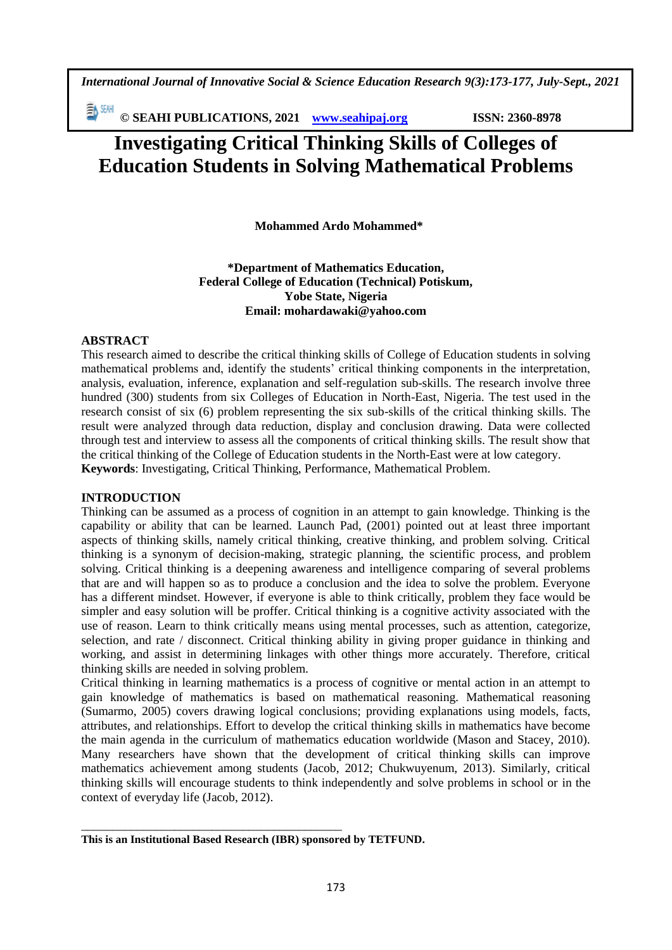*International Journal of Innovative Social & Science Education Research 9(3):173-177, July-Sept., 2021*

EN SEMI **© SEAHI PUBLICATIONS, 2021 [www.seahipaj.org](http://www.seahipaj.org/) ISSN: 2360-8978**

# **Investigating Critical Thinking Skills of Colleges of Education Students in Solving Mathematical Problems**

 **Mohammed Ardo Mohammed\***

**\*Department of Mathematics Education, Federal College of Education (Technical) Potiskum, Yobe State, Nigeria Email: mohardawaki@yahoo.com**

## **ABSTRACT**

This research aimed to describe the critical thinking skills of College of Education students in solving mathematical problems and, identify the students' critical thinking components in the interpretation, analysis, evaluation, inference, explanation and self-regulation sub-skills. The research involve three hundred (300) students from six Colleges of Education in North-East, Nigeria. The test used in the research consist of six (6) problem representing the six sub-skills of the critical thinking skills. The result were analyzed through data reduction, display and conclusion drawing. Data were collected through test and interview to assess all the components of critical thinking skills. The result show that the critical thinking of the College of Education students in the North-East were at low category. **Keywords**: Investigating, Critical Thinking, Performance, Mathematical Problem.

### **INTRODUCTION**

Thinking can be assumed as a process of cognition in an attempt to gain knowledge. Thinking is the capability or ability that can be learned. Launch Pad, (2001) pointed out at least three important aspects of thinking skills, namely critical thinking, creative thinking, and problem solving. Critical thinking is a synonym of decision-making, strategic planning, the scientific process, and problem solving. Critical thinking is a deepening awareness and intelligence comparing of several problems that are and will happen so as to produce a conclusion and the idea to solve the problem. Everyone has a different mindset. However, if everyone is able to think critically, problem they face would be simpler and easy solution will be proffer. Critical thinking is a cognitive activity associated with the use of reason. Learn to think critically means using mental processes, such as attention, categorize, selection, and rate / disconnect. Critical thinking ability in giving proper guidance in thinking and working, and assist in determining linkages with other things more accurately. Therefore, critical thinking skills are needed in solving problem.

Critical thinking in learning mathematics is a process of cognitive or mental action in an attempt to gain knowledge of mathematics is based on mathematical reasoning. Mathematical reasoning (Sumarmo, 2005) covers drawing logical conclusions; providing explanations using models, facts, attributes, and relationships. Effort to develop the critical thinking skills in mathematics have become the main agenda in the curriculum of mathematics education worldwide (Mason and Stacey, 2010). Many researchers have shown that the development of critical thinking skills can improve mathematics achievement among students (Jacob, 2012; Chukwuyenum, 2013). Similarly, critical thinking skills will encourage students to think independently and solve problems in school or in the context of everyday life (Jacob, 2012).

\_\_\_\_\_\_\_\_\_\_\_\_\_\_\_\_\_\_\_\_\_\_\_\_\_\_\_\_\_\_\_\_\_\_\_\_\_\_\_\_\_\_

**This is an Institutional Based Research (IBR) sponsored by TETFUND.**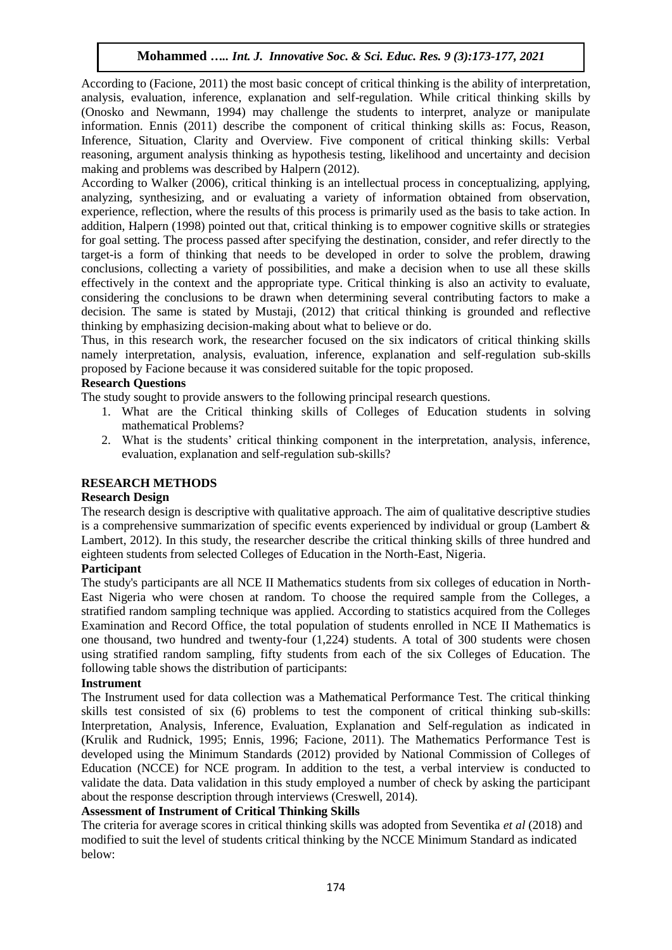## **Mohammed** *….. Int. J. Innovative Soc. & Sci. Educ. Res. 9 (3):173-177, 2021*

According to (Facione, 2011) the most basic concept of critical thinking is the ability of interpretation, analysis, evaluation, inference, explanation and self-regulation. While critical thinking skills by (Onosko and Newmann, 1994) may challenge the students to interpret, analyze or manipulate information. Ennis (2011) describe the component of critical thinking skills as: Focus, Reason, Inference, Situation, Clarity and Overview. Five component of critical thinking skills: Verbal reasoning, argument analysis thinking as hypothesis testing, likelihood and uncertainty and decision making and problems was described by Halpern (2012).

According to Walker (2006), critical thinking is an intellectual process in conceptualizing, applying, analyzing, synthesizing, and or evaluating a variety of information obtained from observation, experience, reflection, where the results of this process is primarily used as the basis to take action. In addition, Halpern (1998) pointed out that, critical thinking is to empower cognitive skills or strategies for goal setting. The process passed after specifying the destination, consider, and refer directly to the target-is a form of thinking that needs to be developed in order to solve the problem, drawing conclusions, collecting a variety of possibilities, and make a decision when to use all these skills effectively in the context and the appropriate type. Critical thinking is also an activity to evaluate, considering the conclusions to be drawn when determining several contributing factors to make a decision. The same is stated by Mustaji, (2012) that critical thinking is grounded and reflective thinking by emphasizing decision-making about what to believe or do.

Thus, in this research work, the researcher focused on the six indicators of critical thinking skills namely interpretation, analysis, evaluation, inference, explanation and self-regulation sub-skills proposed by Facione because it was considered suitable for the topic proposed.

## **Research Questions**

The study sought to provide answers to the following principal research questions.

- 1. What are the Critical thinking skills of Colleges of Education students in solving mathematical Problems?
- 2. What is the students' critical thinking component in the interpretation, analysis, inference, evaluation, explanation and self-regulation sub-skills?

## **RESEARCH METHODS**

### **Research Design**

The research design is descriptive with qualitative approach. The aim of qualitative descriptive studies is a comprehensive summarization of specific events experienced by individual or group (Lambert & Lambert, 2012). In this study, the researcher describe the critical thinking skills of three hundred and eighteen students from selected Colleges of Education in the North-East, Nigeria.

## **Participant**

The study's participants are all NCE II Mathematics students from six colleges of education in North-East Nigeria who were chosen at random. To choose the required sample from the Colleges, a stratified random sampling technique was applied. According to statistics acquired from the Colleges Examination and Record Office, the total population of students enrolled in NCE II Mathematics is one thousand, two hundred and twenty-four (1,224) students. A total of 300 students were chosen using stratified random sampling, fifty students from each of the six Colleges of Education. The following table shows the distribution of participants:

### **Instrument**

The Instrument used for data collection was a Mathematical Performance Test. The critical thinking skills test consisted of six (6) problems to test the component of critical thinking sub-skills: Interpretation, Analysis, Inference, Evaluation, Explanation and Self-regulation as indicated in (Krulik and Rudnick, 1995; Ennis, 1996; Facione, 2011). The Mathematics Performance Test is developed using the Minimum Standards (2012) provided by National Commission of Colleges of Education (NCCE) for NCE program. In addition to the test, a verbal interview is conducted to validate the data. Data validation in this study employed a number of check by asking the participant about the response description through interviews (Creswell, 2014).

### **Assessment of Instrument of Critical Thinking Skills**

The criteria for average scores in critical thinking skills was adopted from Seventika *et al* (2018) and modified to suit the level of students critical thinking by the NCCE Minimum Standard as indicated below: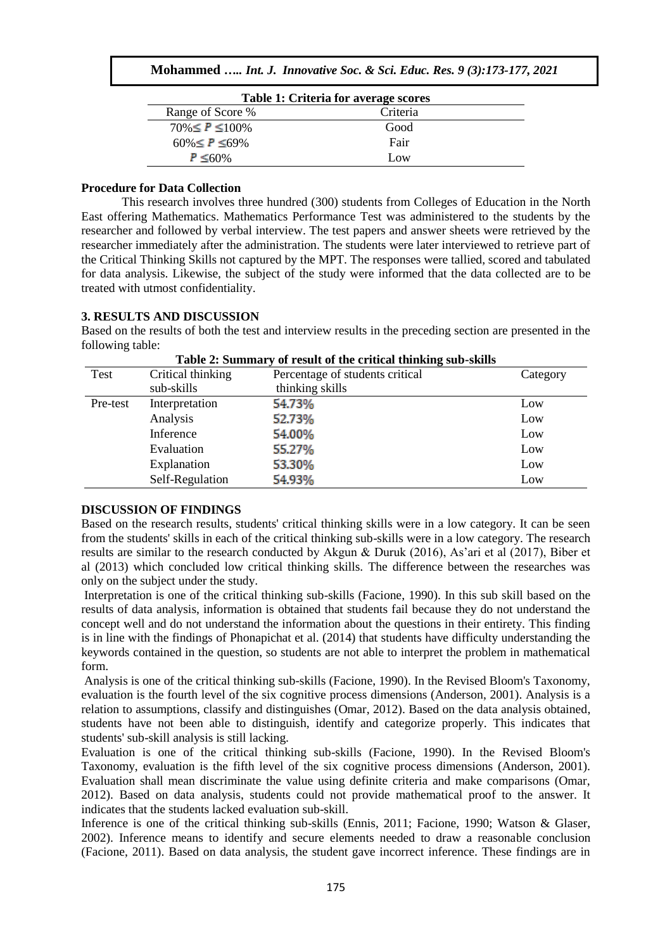| Table 1: Criteria for average scores |          |  |
|--------------------------------------|----------|--|
| Range of Score %                     | Criteria |  |
| $70\% \leq P \leq 100\%$             | Good     |  |
| $60\% \leq P \leq 69\%$              | Fair     |  |
| $P \leq 60\%$                        | Low      |  |

#### **Procedure for Data Collection**

This research involves three hundred (300) students from Colleges of Education in the North East offering Mathematics. Mathematics Performance Test was administered to the students by the researcher and followed by verbal interview. The test papers and answer sheets were retrieved by the researcher immediately after the administration. The students were later interviewed to retrieve part of the Critical Thinking Skills not captured by the MPT. The responses were tallied, scored and tabulated for data analysis. Likewise, the subject of the study were informed that the data collected are to be treated with utmost confidentiality.

#### **3. RESULTS AND DISCUSSION**

Based on the results of both the test and interview results in the preceding section are presented in the following table:

| Test     | Critical thinking | $\sim$<br>Percentage of students critical | Category |
|----------|-------------------|-------------------------------------------|----------|
|          |                   |                                           |          |
|          | sub-skills        | thinking skills                           |          |
| Pre-test | Interpretation    | 54.73%                                    | Low      |
|          | Analysis          | 52.73%                                    | Low      |
|          | Inference         | 54.00%                                    | Low      |
|          | Evaluation        | 55.27%                                    | Low      |
|          | Explanation       | 53.30%                                    | Low      |
|          | Self-Regulation   | 54.93%                                    | Low      |
|          |                   |                                           |          |

#### **Table 2: Summary of result of the critical thinking sub-skills**

### **DISCUSSION OF FINDINGS**

Based on the research results, students' critical thinking skills were in a low category. It can be seen from the students' skills in each of the critical thinking sub-skills were in a low category. The research results are similar to the research conducted by Akgun & Duruk (2016), As'ari et al (2017), Biber et al (2013) which concluded low critical thinking skills. The difference between the researches was only on the subject under the study.

Interpretation is one of the critical thinking sub-skills (Facione, 1990). In this sub skill based on the results of data analysis, information is obtained that students fail because they do not understand the concept well and do not understand the information about the questions in their entirety. This finding is in line with the findings of Phonapichat et al. (2014) that students have difficulty understanding the keywords contained in the question, so students are not able to interpret the problem in mathematical form.

Analysis is one of the critical thinking sub-skills (Facione, 1990). In the Revised Bloom's Taxonomy, evaluation is the fourth level of the six cognitive process dimensions (Anderson, 2001). Analysis is a relation to assumptions, classify and distinguishes (Omar, 2012). Based on the data analysis obtained, students have not been able to distinguish, identify and categorize properly. This indicates that students' sub-skill analysis is still lacking.

Evaluation is one of the critical thinking sub-skills (Facione, 1990). In the Revised Bloom's Taxonomy, evaluation is the fifth level of the six cognitive process dimensions (Anderson, 2001). Evaluation shall mean discriminate the value using definite criteria and make comparisons (Omar, 2012). Based on data analysis, students could not provide mathematical proof to the answer. It indicates that the students lacked evaluation sub-skill.

Inference is one of the critical thinking sub-skills (Ennis, 2011; Facione, 1990; Watson & Glaser, 2002). Inference means to identify and secure elements needed to draw a reasonable conclusion (Facione, 2011). Based on data analysis, the student gave incorrect inference. These findings are in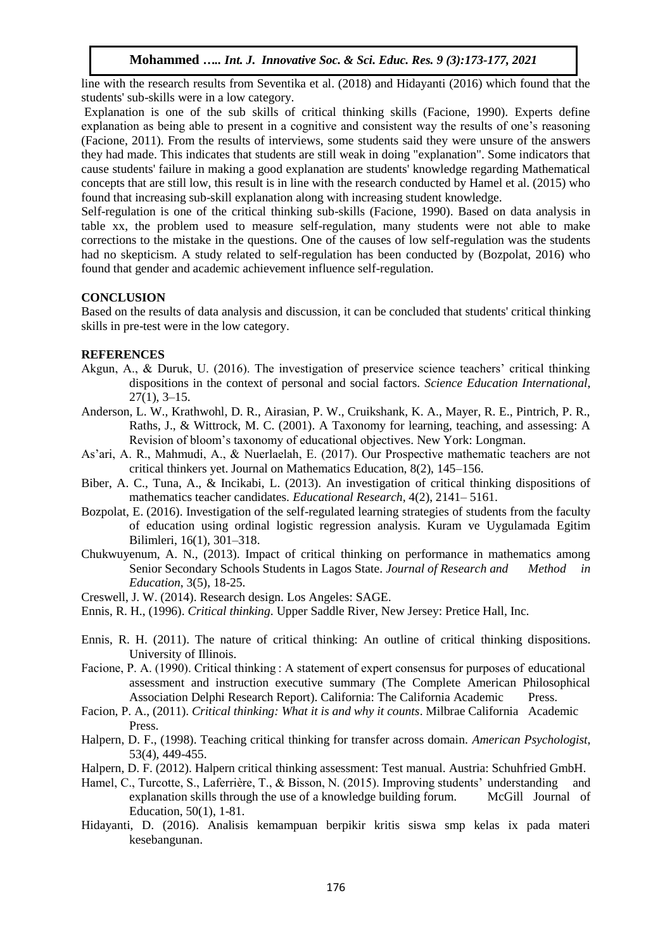## **Mohammed** *….. Int. J. Innovative Soc. & Sci. Educ. Res. 9 (3):173-177, 2021*

line with the research results from Seventika et al. (2018) and Hidayanti (2016) which found that the students' sub-skills were in a low category.

Explanation is one of the sub skills of critical thinking skills (Facione, 1990). Experts define explanation as being able to present in a cognitive and consistent way the results of one's reasoning (Facione, 2011). From the results of interviews, some students said they were unsure of the answers they had made. This indicates that students are still weak in doing "explanation". Some indicators that cause students' failure in making a good explanation are students' knowledge regarding Mathematical concepts that are still low, this result is in line with the research conducted by Hamel et al. (2015) who found that increasing sub-skill explanation along with increasing student knowledge.

Self-regulation is one of the critical thinking sub-skills (Facione, 1990). Based on data analysis in table xx, the problem used to measure self-regulation, many students were not able to make corrections to the mistake in the questions. One of the causes of low self-regulation was the students had no skepticism. A study related to self-regulation has been conducted by (Bozpolat, 2016) who found that gender and academic achievement influence self-regulation.

### **CONCLUSION**

Based on the results of data analysis and discussion, it can be concluded that students' critical thinking skills in pre-test were in the low category.

## **REFERENCES**

- Akgun, A., & Duruk, U. (2016). The investigation of preservice science teachers' critical thinking dispositions in the context of personal and social factors. *Science Education International*, 27(1), 3–15.
- Anderson, L. W., Krathwohl, D. R., Airasian, P. W., Cruikshank, K. A., Mayer, R. E., Pintrich, P. R., Raths, J., & Wittrock, M. C. (2001). A Taxonomy for learning, teaching, and assessing: A Revision of bloom's taxonomy of educational objectives. New York: Longman.
- As'ari, A. R., Mahmudi, A., & Nuerlaelah, E. (2017). Our Prospective mathematic teachers are not critical thinkers yet. Journal on Mathematics Education, 8(2), 145–156.
- Biber, A. C., Tuna, A., & Incikabi, L. (2013). An investigation of critical thinking dispositions of mathematics teacher candidates. *Educational Research,* 4(2), 2141– 5161.
- Bozpolat, E. (2016). Investigation of the self-regulated learning strategies of students from the faculty of education using ordinal logistic regression analysis. Kuram ve Uygulamada Egitim Bilimleri, 16(1), 301–318.
- Chukwuyenum, A. N., (2013). Impact of critical thinking on performance in mathematics among Senior Secondary Schools Students in Lagos State. *Journal of Research and Method in Education*, 3(5), 18-25.
- Creswell, J. W. (2014). Research design. Los Angeles: SAGE.

- Ennis, R. H. (2011). The nature of critical thinking: An outline of critical thinking dispositions. University of Illinois.
- Facione, P. A. (1990). Critical thinking : A statement of expert consensus for purposes of educational assessment and instruction executive summary (The Complete American Philosophical Association Delphi Research Report). California: The California Academic Press.
- Facion, P. A., (2011). *Critical thinking: What it is and why it counts*. Milbrae California Academic Press.
- Halpern, D. F., (1998). Teaching critical thinking for transfer across domain. *American Psychologist*, 53(4), 449-455.
- Halpern, D. F. (2012). Halpern critical thinking assessment: Test manual. Austria: Schuhfried GmbH.
- Hamel, C., Turcotte, S., Laferrière, T., & Bisson, N. (2015). Improving students' understanding and explanation skills through the use of a knowledge building forum. McGill Journal of Education, 50(1), 1-81.
- Hidayanti, D. (2016). Analisis kemampuan berpikir kritis siswa smp kelas ix pada materi kesebangunan.

Ennis, R. H., (1996). *Critical thinking*. Upper Saddle River, New Jersey: Pretice Hall, Inc.